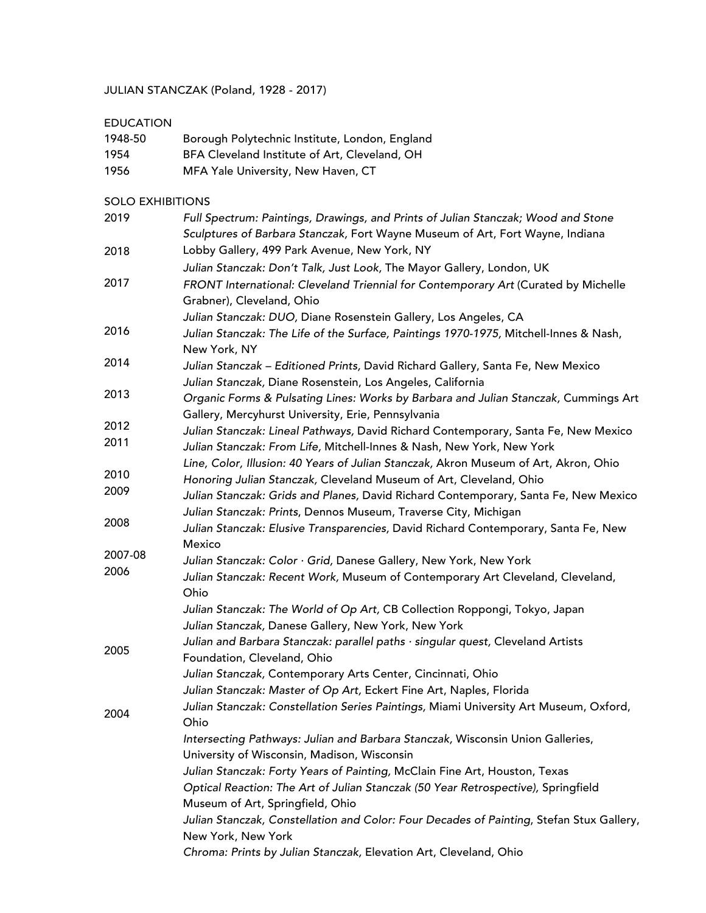JULIAN STANCZAK (Poland, 1928 - 2017)

# EDUCATION

| 1948-50 | Borough Polytechnic Institute, London, England |
|---------|------------------------------------------------|
| 1954    | BFA Cleveland Institute of Art, Cleveland, OH  |
| 1956    | MFA Yale University, New Haven, CT             |

#### SOLO EXHIBITIONS

| 2019    | Full Spectrum: Paintings, Drawings, and Prints of Julian Stanczak; Wood and Stone<br>Sculptures of Barbara Stanczak, Fort Wayne Museum of Art, Fort Wayne, Indiana |
|---------|--------------------------------------------------------------------------------------------------------------------------------------------------------------------|
| 2018    | Lobby Gallery, 499 Park Avenue, New York, NY                                                                                                                       |
|         | Julian Stanczak: Don't Talk, Just Look, The Mayor Gallery, London, UK                                                                                              |
| 2017    | FRONT International: Cleveland Triennial for Contemporary Art (Curated by Michelle<br>Grabner), Cleveland, Ohio                                                    |
|         | Julian Stanczak: DUO, Diane Rosenstein Gallery, Los Angeles, CA                                                                                                    |
| 2016    | Julian Stanczak: The Life of the Surface, Paintings 1970-1975, Mitchell-Innes & Nash,<br>New York, NY                                                              |
| 2014    | Julian Stanczak - Editioned Prints, David Richard Gallery, Santa Fe, New Mexico                                                                                    |
| 2013    | Julian Stanczak, Diane Rosenstein, Los Angeles, California<br>Organic Forms & Pulsating Lines: Works by Barbara and Julian Stanczak, Cummings Art                  |
| 2012    | Gallery, Mercyhurst University, Erie, Pennsylvania                                                                                                                 |
| 2011    | Julian Stanczak: Lineal Pathways, David Richard Contemporary, Santa Fe, New Mexico<br>Julian Stanczak: From Life, Mitchell-Innes & Nash, New York, New York        |
|         | Line, Color, Illusion: 40 Years of Julian Stanczak, Akron Museum of Art, Akron, Ohio                                                                               |
| 2010    | Honoring Julian Stanczak, Cleveland Museum of Art, Cleveland, Ohio                                                                                                 |
| 2009    | Julian Stanczak: Grids and Planes, David Richard Contemporary, Santa Fe, New Mexico<br>Julian Stanczak: Prints, Dennos Museum, Traverse City, Michigan             |
| 2008    | Julian Stanczak: Elusive Transparencies, David Richard Contemporary, Santa Fe, New                                                                                 |
| 2007-08 | Mexico                                                                                                                                                             |
| 2006    | Julian Stanczak: Color · Grid, Danese Gallery, New York, New York                                                                                                  |
|         | Julian Stanczak: Recent Work, Museum of Contemporary Art Cleveland, Cleveland,<br>Ohio                                                                             |
|         | Julian Stanczak: The World of Op Art, CB Collection Roppongi, Tokyo, Japan<br>Julian Stanczak, Danese Gallery, New York, New York                                  |
|         |                                                                                                                                                                    |
| 2005    | Julian and Barbara Stanczak: parallel paths · singular quest, Cleveland Artists<br>Foundation, Cleveland, Ohio                                                     |
|         | Julian Stanczak, Contemporary Arts Center, Cincinnati, Ohio                                                                                                        |
|         | Julian Stanczak: Master of Op Art, Eckert Fine Art, Naples, Florida                                                                                                |
| 2004    | Julian Stanczak: Constellation Series Paintings, Miami University Art Museum, Oxford,<br>Ohio                                                                      |
|         | Intersecting Pathways: Julian and Barbara Stanczak, Wisconsin Union Galleries,                                                                                     |
|         | University of Wisconsin, Madison, Wisconsin                                                                                                                        |
|         | Julian Stanczak: Forty Years of Painting, McClain Fine Art, Houston, Texas                                                                                         |
|         | Optical Reaction: The Art of Julian Stanczak (50 Year Retrospective), Springfield<br>Museum of Art, Springfield, Ohio                                              |
|         | Julian Stanczak, Constellation and Color: Four Decades of Painting, Stefan Stux Gallery,                                                                           |
|         | New York, New York                                                                                                                                                 |
|         | Chroma: Prints by Julian Stanczak, Elevation Art, Cleveland, Ohio                                                                                                  |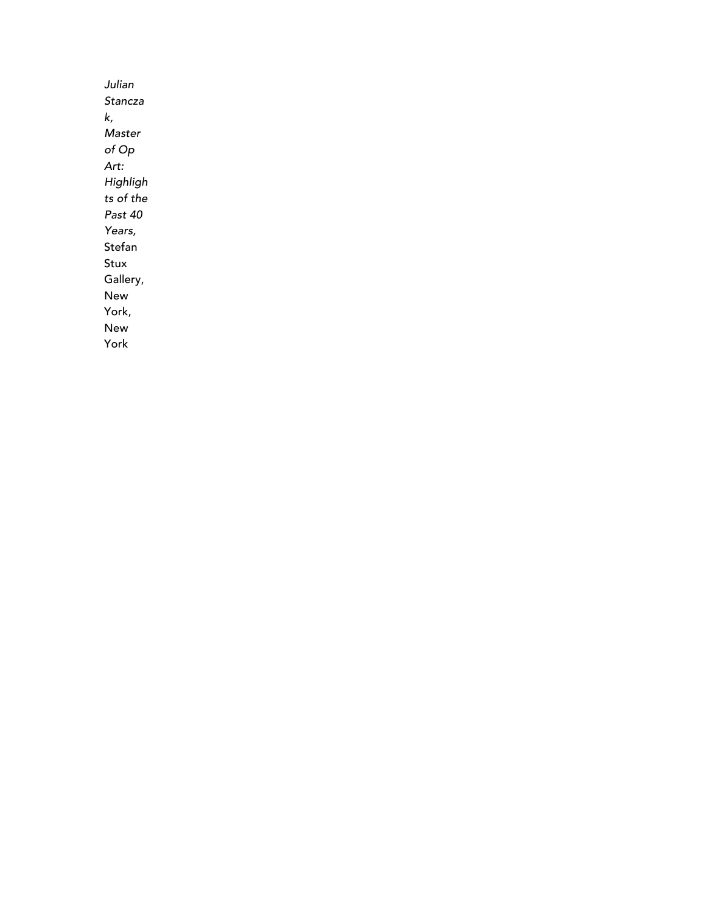*Julian Stancza k, Master of Op Art: Highligh ts of the Past 40 Years,*  Stefan Stux Gallery, New York, New York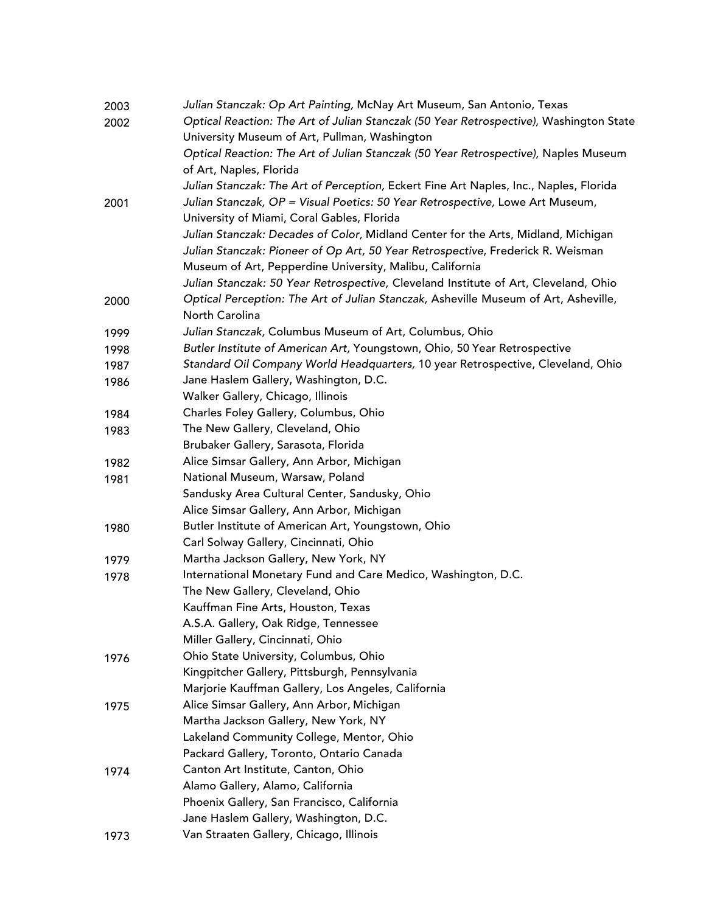| 2003 | Julian Stanczak: Op Art Painting, McNay Art Museum, San Antonio, Texas                 |
|------|----------------------------------------------------------------------------------------|
| 2002 | Optical Reaction: The Art of Julian Stanczak (50 Year Retrospective), Washington State |
|      | University Museum of Art, Pullman, Washington                                          |
|      | Optical Reaction: The Art of Julian Stanczak (50 Year Retrospective), Naples Museum    |
|      | of Art, Naples, Florida                                                                |
|      | Julian Stanczak: The Art of Perception, Eckert Fine Art Naples, Inc., Naples, Florida  |
| 2001 | Julian Stanczak, OP = Visual Poetics: 50 Year Retrospective, Lowe Art Museum,          |
|      | University of Miami, Coral Gables, Florida                                             |
|      | Julian Stanczak: Decades of Color, Midland Center for the Arts, Midland, Michigan      |
|      | Julian Stanczak: Pioneer of Op Art, 50 Year Retrospective, Frederick R. Weisman        |
|      | Museum of Art, Pepperdine University, Malibu, California                               |
|      | Julian Stanczak: 50 Year Retrospective, Cleveland Institute of Art, Cleveland, Ohio    |
| 2000 | Optical Perception: The Art of Julian Stanczak, Asheville Museum of Art, Asheville,    |
|      | North Carolina                                                                         |
| 1999 | Julian Stanczak, Columbus Museum of Art, Columbus, Ohio                                |
| 1998 | Butler Institute of American Art, Youngstown, Ohio, 50 Year Retrospective              |
| 1987 | Standard Oil Company World Headquarters, 10 year Retrospective, Cleveland, Ohio        |
| 1986 | Jane Haslem Gallery, Washington, D.C.                                                  |
|      | Walker Gallery, Chicago, Illinois                                                      |
| 1984 | Charles Foley Gallery, Columbus, Ohio                                                  |
| 1983 | The New Gallery, Cleveland, Ohio                                                       |
|      | Brubaker Gallery, Sarasota, Florida                                                    |
| 1982 | Alice Simsar Gallery, Ann Arbor, Michigan                                              |
| 1981 | National Museum, Warsaw, Poland                                                        |
|      | Sandusky Area Cultural Center, Sandusky, Ohio                                          |
|      | Alice Simsar Gallery, Ann Arbor, Michigan                                              |
| 1980 | Butler Institute of American Art, Youngstown, Ohio                                     |
|      | Carl Solway Gallery, Cincinnati, Ohio                                                  |
| 1979 | Martha Jackson Gallery, New York, NY                                                   |
| 1978 | International Monetary Fund and Care Medico, Washington, D.C.                          |
|      | The New Gallery, Cleveland, Ohio                                                       |
|      | Kauffman Fine Arts, Houston, Texas                                                     |
|      | A.S.A. Gallery, Oak Ridge, Tennessee                                                   |
|      | Miller Gallery, Cincinnati, Ohio                                                       |
| 1976 | Ohio State University, Columbus, Ohio                                                  |
|      | Kingpitcher Gallery, Pittsburgh, Pennsylvania                                          |
|      | Marjorie Kauffman Gallery, Los Angeles, California                                     |
| 1975 | Alice Simsar Gallery, Ann Arbor, Michigan                                              |
|      | Martha Jackson Gallery, New York, NY                                                   |
|      | Lakeland Community College, Mentor, Ohio                                               |
|      | Packard Gallery, Toronto, Ontario Canada                                               |
| 1974 | Canton Art Institute, Canton, Ohio                                                     |
|      | Alamo Gallery, Alamo, California                                                       |
|      | Phoenix Gallery, San Francisco, California                                             |
|      | Jane Haslem Gallery, Washington, D.C.                                                  |
| 1973 | Van Straaten Gallery, Chicago, Illinois                                                |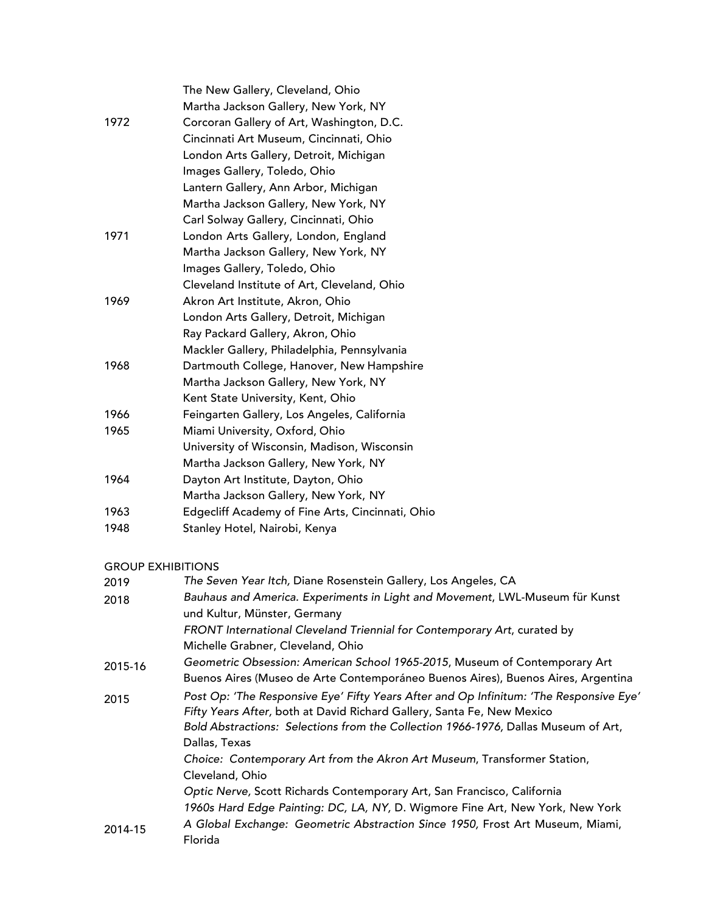|                          | The New Gallery, Cleveland, Ohio                                                                                                                                 |
|--------------------------|------------------------------------------------------------------------------------------------------------------------------------------------------------------|
|                          | Martha Jackson Gallery, New York, NY                                                                                                                             |
| 1972                     | Corcoran Gallery of Art, Washington, D.C.<br>Cincinnati Art Museum, Cincinnati, Ohio                                                                             |
|                          | London Arts Gallery, Detroit, Michigan                                                                                                                           |
|                          | Images Gallery, Toledo, Ohio                                                                                                                                     |
|                          | Lantern Gallery, Ann Arbor, Michigan                                                                                                                             |
|                          | Martha Jackson Gallery, New York, NY                                                                                                                             |
|                          | Carl Solway Gallery, Cincinnati, Ohio                                                                                                                            |
| 1971                     | London Arts Gallery, London, England                                                                                                                             |
|                          | Martha Jackson Gallery, New York, NY                                                                                                                             |
|                          | Images Gallery, Toledo, Ohio                                                                                                                                     |
|                          | Cleveland Institute of Art, Cleveland, Ohio                                                                                                                      |
| 1969                     | Akron Art Institute, Akron, Ohio                                                                                                                                 |
|                          | London Arts Gallery, Detroit, Michigan                                                                                                                           |
|                          | Ray Packard Gallery, Akron, Ohio                                                                                                                                 |
|                          | Mackler Gallery, Philadelphia, Pennsylvania                                                                                                                      |
| 1968                     | Dartmouth College, Hanover, New Hampshire                                                                                                                        |
|                          | Martha Jackson Gallery, New York, NY                                                                                                                             |
|                          | Kent State University, Kent, Ohio                                                                                                                                |
| 1966                     | Feingarten Gallery, Los Angeles, California                                                                                                                      |
| 1965                     | Miami University, Oxford, Ohio                                                                                                                                   |
|                          | University of Wisconsin, Madison, Wisconsin                                                                                                                      |
|                          | Martha Jackson Gallery, New York, NY                                                                                                                             |
| 1964                     | Dayton Art Institute, Dayton, Ohio                                                                                                                               |
|                          | Martha Jackson Gallery, New York, NY                                                                                                                             |
| 1963                     | Edgecliff Academy of Fine Arts, Cincinnati, Ohio                                                                                                                 |
| 1948                     | Stanley Hotel, Nairobi, Kenya                                                                                                                                    |
| <b>GROUP EXHIBITIONS</b> |                                                                                                                                                                  |
| 2019                     | The Seven Year Itch, Diane Rosenstein Gallery, Los Angeles, CA                                                                                                   |
| 2018                     | Bauhaus and America. Experiments in Light and Movement, LWL-Museum für Kunst<br>und Kultur, Münster, Germany                                                     |
|                          | FRONT International Cleveland Triennial for Contemporary Art, curated by                                                                                         |
|                          | Michelle Grabner, Cleveland, Ohio                                                                                                                                |
| 2015-16                  | Geometric Obsession: American School 1965-2015, Museum of Contemporary Art                                                                                       |
|                          | Buenos Aires (Museo de Arte Contemporáneo Buenos Aires), Buenos Aires, Argentina                                                                                 |
| 2015                     | Post Op: 'The Responsive Eye' Fifty Years After and Op Infinitum: 'The Responsive Eye'<br>Fifty Years After, both at David Richard Gallery, Santa Fe, New Mexico |
|                          | Bold Abstractions: Selections from the Collection 1966-1976, Dallas Museum of Art,<br>Dallas, Texas                                                              |
|                          | Choice: Contemporary Art from the Akron Art Museum, Transformer Station,                                                                                         |
|                          | Cleveland, Ohio<br>Optic Nerve, Scott Richards Contemporary Art, San Francisco, California                                                                       |
|                          | 1960s Hard Edge Painting: DC, LA, NY, D. Wigmore Fine Art, New York, New York                                                                                    |
|                          | A Global Exchange: Geometric Abstraction Since 1950, Frost Art Museum, Miami,                                                                                    |
| 2014-15                  | <b>Elorida</b>                                                                                                                                                   |

Florida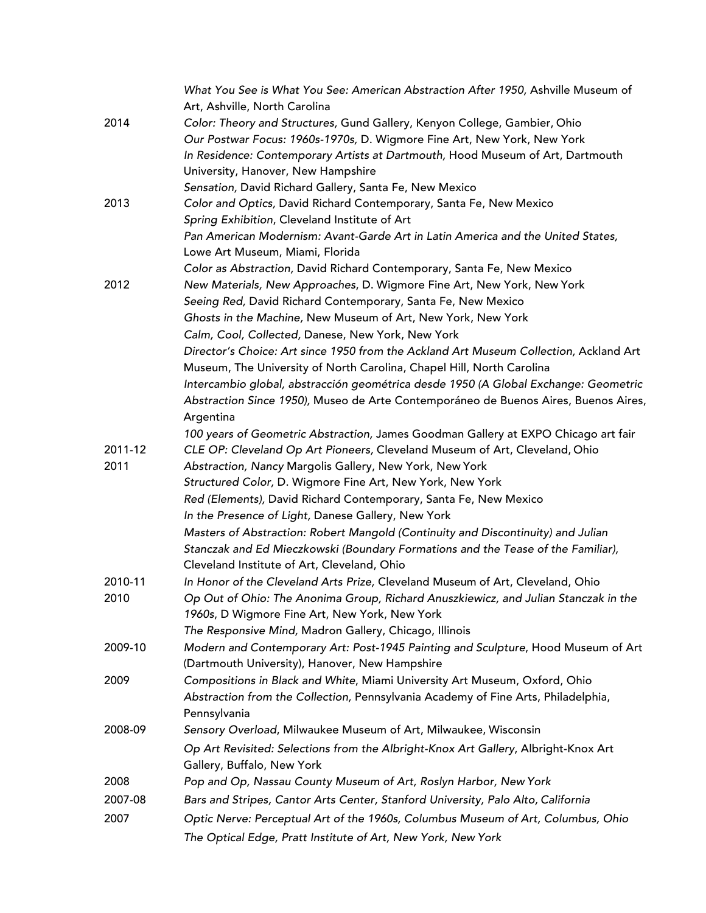|         | What You See is What You See: American Abstraction After 1950, Ashville Museum of     |
|---------|---------------------------------------------------------------------------------------|
|         | Art, Ashville, North Carolina                                                         |
| 2014    | Color: Theory and Structures, Gund Gallery, Kenyon College, Gambier, Ohio             |
|         | Our Postwar Focus: 1960s-1970s, D. Wigmore Fine Art, New York, New York               |
|         | In Residence: Contemporary Artists at Dartmouth, Hood Museum of Art, Dartmouth        |
|         | University, Hanover, New Hampshire                                                    |
|         | Sensation, David Richard Gallery, Santa Fe, New Mexico                                |
| 2013    | Color and Optics, David Richard Contemporary, Santa Fe, New Mexico                    |
|         | Spring Exhibition, Cleveland Institute of Art                                         |
|         | Pan American Modernism: Avant-Garde Art in Latin America and the United States,       |
|         | Lowe Art Museum, Miami, Florida                                                       |
|         | Color as Abstraction, David Richard Contemporary, Santa Fe, New Mexico                |
| 2012    | New Materials, New Approaches, D. Wigmore Fine Art, New York, New York                |
|         | Seeing Red, David Richard Contemporary, Santa Fe, New Mexico                          |
|         | Ghosts in the Machine, New Museum of Art, New York, New York                          |
|         | Calm, Cool, Collected, Danese, New York, New York                                     |
|         | Director's Choice: Art since 1950 from the Ackland Art Museum Collection, Ackland Art |
|         | Museum, The University of North Carolina, Chapel Hill, North Carolina                 |
|         | Intercambio global, abstracción geométrica desde 1950 (A Global Exchange: Geometric   |
|         | Abstraction Since 1950), Museo de Arte Contemporáneo de Buenos Aires, Buenos Aires,   |
|         | Argentina                                                                             |
|         | 100 years of Geometric Abstraction, James Goodman Gallery at EXPO Chicago art fair    |
| 2011-12 | CLE OP: Cleveland Op Art Pioneers, Cleveland Museum of Art, Cleveland, Ohio           |
| 2011    | Abstraction, Nancy Margolis Gallery, New York, New York                               |
|         | Structured Color, D. Wigmore Fine Art, New York, New York                             |
|         | Red (Elements), David Richard Contemporary, Santa Fe, New Mexico                      |
|         | In the Presence of Light, Danese Gallery, New York                                    |
|         | Masters of Abstraction: Robert Mangold (Continuity and Discontinuity) and Julian      |
|         | Stanczak and Ed Mieczkowski (Boundary Formations and the Tease of the Familiar),      |
|         | Cleveland Institute of Art, Cleveland, Ohio                                           |
| 2010-11 | In Honor of the Cleveland Arts Prize, Cleveland Museum of Art, Cleveland, Ohio        |
| 2010    | Op Out of Ohio: The Anonima Group, Richard Anuszkiewicz, and Julian Stanczak in the   |
|         | 1960s, D Wigmore Fine Art, New York, New York                                         |
|         | The Responsive Mind, Madron Gallery, Chicago, Illinois                                |
| 2009-10 | Modern and Contemporary Art: Post-1945 Painting and Sculpture, Hood Museum of Art     |
|         | (Dartmouth University), Hanover, New Hampshire                                        |
| 2009    | Compositions in Black and White, Miami University Art Museum, Oxford, Ohio            |
|         | Abstraction from the Collection, Pennsylvania Academy of Fine Arts, Philadelphia,     |
|         | Pennsylvania                                                                          |
| 2008-09 | Sensory Overload, Milwaukee Museum of Art, Milwaukee, Wisconsin                       |
|         | Op Art Revisited: Selections from the Albright-Knox Art Gallery, Albright-Knox Art    |
|         | Gallery, Buffalo, New York                                                            |
| 2008    | Pop and Op, Nassau County Museum of Art, Roslyn Harbor, New York                      |
| 2007-08 | Bars and Stripes, Cantor Arts Center, Stanford University, Palo Alto, California      |
| 2007    | Optic Nerve: Perceptual Art of the 1960s, Columbus Museum of Art, Columbus, Ohio      |
|         |                                                                                       |
|         | The Optical Edge, Pratt Institute of Art, New York, New York                          |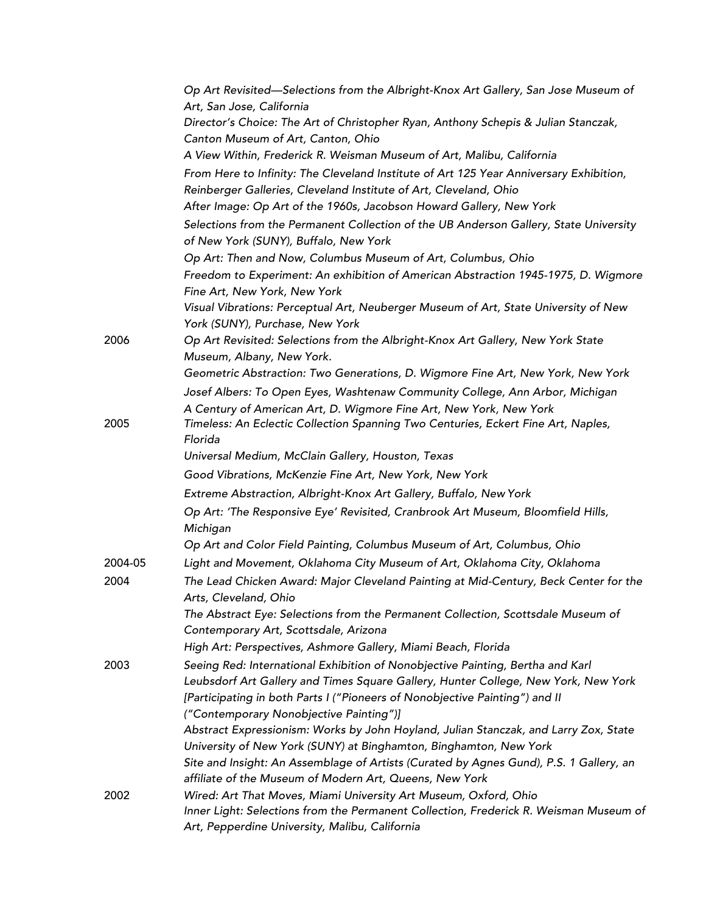|         | Op Art Revisited—Selections from the Albright-Knox Art Gallery, San Jose Museum of<br>Art, San Jose, California                                                                                                                                                                                |
|---------|------------------------------------------------------------------------------------------------------------------------------------------------------------------------------------------------------------------------------------------------------------------------------------------------|
|         | Director's Choice: The Art of Christopher Ryan, Anthony Schepis & Julian Stanczak,                                                                                                                                                                                                             |
|         | Canton Museum of Art, Canton, Ohio                                                                                                                                                                                                                                                             |
|         | A View Within, Frederick R. Weisman Museum of Art, Malibu, California                                                                                                                                                                                                                          |
|         | From Here to Infinity: The Cleveland Institute of Art 125 Year Anniversary Exhibition,                                                                                                                                                                                                         |
|         | Reinberger Galleries, Cleveland Institute of Art, Cleveland, Ohio                                                                                                                                                                                                                              |
|         | After Image: Op Art of the 1960s, Jacobson Howard Gallery, New York                                                                                                                                                                                                                            |
|         | Selections from the Permanent Collection of the UB Anderson Gallery, State University<br>of New York (SUNY), Buffalo, New York                                                                                                                                                                 |
|         | Op Art: Then and Now, Columbus Museum of Art, Columbus, Ohio                                                                                                                                                                                                                                   |
|         | Freedom to Experiment: An exhibition of American Abstraction 1945-1975, D. Wigmore<br>Fine Art, New York, New York                                                                                                                                                                             |
|         | Visual Vibrations: Perceptual Art, Neuberger Museum of Art, State University of New<br>York (SUNY), Purchase, New York                                                                                                                                                                         |
| 2006    | Op Art Revisited: Selections from the Albright-Knox Art Gallery, New York State<br>Museum, Albany, New York.                                                                                                                                                                                   |
|         | Geometric Abstraction: Two Generations, D. Wigmore Fine Art, New York, New York                                                                                                                                                                                                                |
|         | Josef Albers: To Open Eyes, Washtenaw Community College, Ann Arbor, Michigan                                                                                                                                                                                                                   |
|         | A Century of American Art, D. Wigmore Fine Art, New York, New York                                                                                                                                                                                                                             |
| 2005    | Timeless: An Eclectic Collection Spanning Two Centuries, Eckert Fine Art, Naples,<br>Florida                                                                                                                                                                                                   |
|         | Universal Medium, McClain Gallery, Houston, Texas                                                                                                                                                                                                                                              |
|         | Good Vibrations, McKenzie Fine Art, New York, New York                                                                                                                                                                                                                                         |
|         | Extreme Abstraction, Albright-Knox Art Gallery, Buffalo, New York                                                                                                                                                                                                                              |
|         | Op Art: 'The Responsive Eye' Revisited, Cranbrook Art Museum, Bloomfield Hills,<br>Michigan                                                                                                                                                                                                    |
|         | Op Art and Color Field Painting, Columbus Museum of Art, Columbus, Ohio                                                                                                                                                                                                                        |
| 2004-05 | Light and Movement, Oklahoma City Museum of Art, Oklahoma City, Oklahoma                                                                                                                                                                                                                       |
| 2004    | The Lead Chicken Award: Major Cleveland Painting at Mid-Century, Beck Center for the<br>Arts, Cleveland, Ohio                                                                                                                                                                                  |
|         | The Abstract Eye: Selections from the Permanent Collection, Scottsdale Museum of<br>Contemporary Art, Scottsdale, Arizona                                                                                                                                                                      |
|         | High Art: Perspectives, Ashmore Gallery, Miami Beach, Florida                                                                                                                                                                                                                                  |
| 2003    | Seeing Red: International Exhibition of Nonobjective Painting, Bertha and Karl<br>Leubsdorf Art Gallery and Times Square Gallery, Hunter College, New York, New York<br>[Participating in both Parts I ("Pioneers of Nonobjective Painting") and II<br>("Contemporary Nonobjective Painting")] |
|         | Abstract Expressionism: Works by John Hoyland, Julian Stanczak, and Larry Zox, State<br>University of New York (SUNY) at Binghamton, Binghamton, New York<br>Site and Insight: An Assemblage of Artists (Curated by Agnes Gund), P.S. 1 Gallery, an                                            |
|         | affiliate of the Museum of Modern Art, Queens, New York                                                                                                                                                                                                                                        |
| 2002    | Wired: Art That Moves, Miami University Art Museum, Oxford, Ohio                                                                                                                                                                                                                               |
|         | Inner Light: Selections from the Permanent Collection, Frederick R. Weisman Museum of<br>Art, Pepperdine University, Malibu, California                                                                                                                                                        |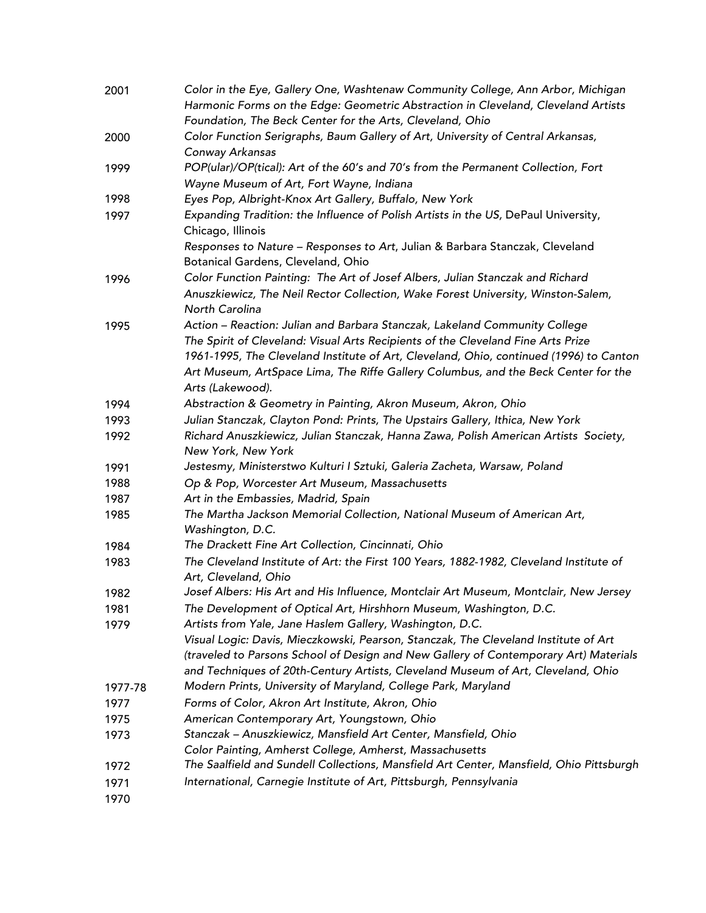| 2001    | Color in the Eye, Gallery One, Washtenaw Community College, Ann Arbor, Michigan                                |
|---------|----------------------------------------------------------------------------------------------------------------|
|         | Harmonic Forms on the Edge: Geometric Abstraction in Cleveland, Cleveland Artists                              |
|         | Foundation, The Beck Center for the Arts, Cleveland, Ohio                                                      |
| 2000    | Color Function Serigraphs, Baum Gallery of Art, University of Central Arkansas,                                |
|         | Conway Arkansas                                                                                                |
| 1999    | POP(ular)/OP(tical): Art of the 60's and 70's from the Permanent Collection, Fort                              |
|         | Wayne Museum of Art, Fort Wayne, Indiana                                                                       |
| 1998    | Eyes Pop, Albright-Knox Art Gallery, Buffalo, New York                                                         |
| 1997    | Expanding Tradition: the Influence of Polish Artists in the US, DePaul University,<br>Chicago, Illinois        |
|         | Responses to Nature - Responses to Art, Julian & Barbara Stanczak, Cleveland                                   |
|         | Botanical Gardens, Cleveland, Ohio                                                                             |
| 1996    | Color Function Painting: The Art of Josef Albers, Julian Stanczak and Richard                                  |
|         | Anuszkiewicz, The Neil Rector Collection, Wake Forest University, Winston-Salem,                               |
|         | North Carolina                                                                                                 |
| 1995    | Action - Reaction: Julian and Barbara Stanczak, Lakeland Community College                                     |
|         | The Spirit of Cleveland: Visual Arts Recipients of the Cleveland Fine Arts Prize                               |
|         | 1961-1995, The Cleveland Institute of Art, Cleveland, Ohio, continued (1996) to Canton                         |
|         | Art Museum, ArtSpace Lima, The Riffe Gallery Columbus, and the Beck Center for the                             |
|         | Arts (Lakewood).                                                                                               |
| 1994    | Abstraction & Geometry in Painting, Akron Museum, Akron, Ohio                                                  |
| 1993    | Julian Stanczak, Clayton Pond: Prints, The Upstairs Gallery, Ithica, New York                                  |
| 1992    | Richard Anuszkiewicz, Julian Stanczak, Hanna Zawa, Polish American Artists Society,                            |
|         | New York, New York                                                                                             |
| 1991    | Jestesmy, Ministerstwo Kulturi I Sztuki, Galeria Zacheta, Warsaw, Poland                                       |
| 1988    | Op & Pop, Worcester Art Museum, Massachusetts                                                                  |
| 1987    | Art in the Embassies, Madrid, Spain                                                                            |
| 1985    | The Martha Jackson Memorial Collection, National Museum of American Art,                                       |
|         | Washington, D.C.                                                                                               |
| 1984    | The Drackett Fine Art Collection, Cincinnati, Ohio                                                             |
| 1983    | The Cleveland Institute of Art: the First 100 Years, 1882-1982, Cleveland Institute of<br>Art, Cleveland, Ohio |
| 1982    | Josef Albers: His Art and His Influence, Montclair Art Museum, Montclair, New Jersey                           |
| 1981    | The Development of Optical Art, Hirshhorn Museum, Washington, D.C.                                             |
| 1979    | Artists from Yale, Jane Haslem Gallery, Washington, D.C.                                                       |
|         | Visual Logic: Davis, Mieczkowski, Pearson, Stanczak, The Cleveland Institute of Art                            |
|         | (traveled to Parsons School of Design and New Gallery of Contemporary Art) Materials                           |
|         | and Techniques of 20th-Century Artists, Cleveland Museum of Art, Cleveland, Ohio                               |
| 1977-78 | Modern Prints, University of Maryland, College Park, Maryland                                                  |
| 1977    | Forms of Color, Akron Art Institute, Akron, Ohio                                                               |
| 1975    | American Contemporary Art, Youngstown, Ohio                                                                    |
| 1973    | Stanczak - Anuszkiewicz, Mansfield Art Center, Mansfield, Ohio                                                 |
|         | Color Painting, Amherst College, Amherst, Massachusetts                                                        |
| 1972    | The Saalfield and Sundell Collections, Mansfield Art Center, Mansfield, Ohio Pittsburgh                        |
| 1971    | International, Carnegie Institute of Art, Pittsburgh, Pennsylvania                                             |
| 1970    |                                                                                                                |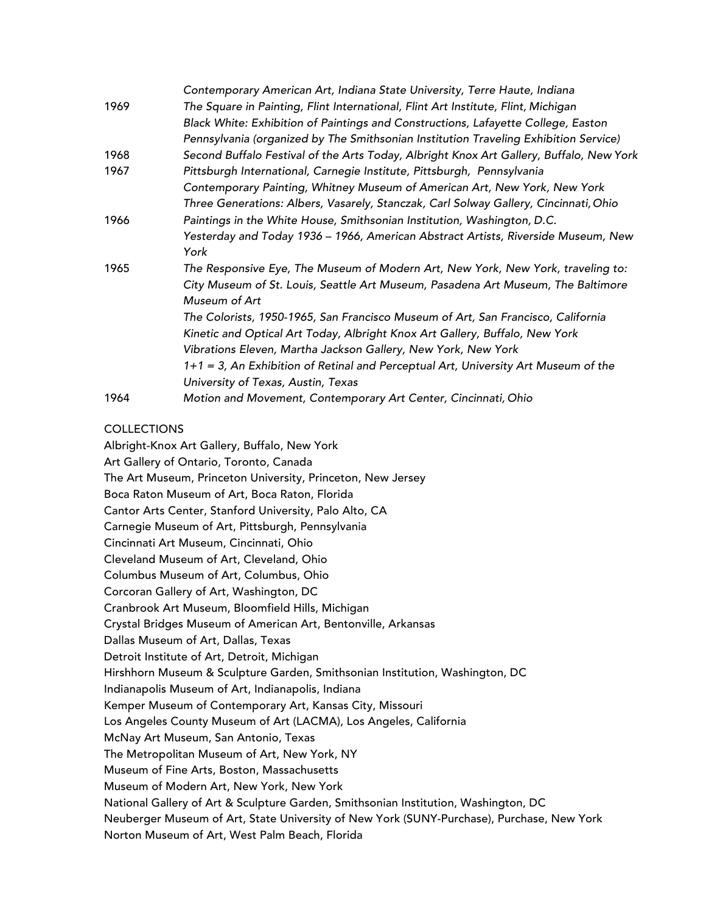|      | Contemporary American Art, Indiana State University, Terre Haute, Indiana               |
|------|-----------------------------------------------------------------------------------------|
| 1969 | The Square in Painting, Flint International, Flint Art Institute, Flint, Michigan       |
|      | Black White: Exhibition of Paintings and Constructions, Lafayette College, Easton       |
|      | Pennsylvania (organized by The Smithsonian Institution Traveling Exhibition Service)    |
| 1968 | Second Buffalo Festival of the Arts Today, Albright Knox Art Gallery, Buffalo, New York |
| 1967 | Pittsburgh International, Carnegie Institute, Pittsburgh, Pennsylvania                  |
|      | Contemporary Painting, Whitney Museum of American Art, New York, New York               |
|      | Three Generations: Albers, Vasarely, Stanczak, Carl Solway Gallery, Cincinnati, Ohio    |
| 1966 | Paintings in the White House, Smithsonian Institution, Washington, D.C.                 |
|      | Yesterday and Today 1936 - 1966, American Abstract Artists, Riverside Museum, New       |
|      | York                                                                                    |
| 1965 | The Responsive Eye, The Museum of Modern Art, New York, New York, traveling to:         |
|      | City Museum of St. Louis, Seattle Art Museum, Pasadena Art Museum, The Baltimore        |
|      | Museum of Art                                                                           |
|      | The Colorists, 1950-1965, San Francisco Museum of Art, San Francisco, California        |
|      | Kinetic and Optical Art Today, Albright Knox Art Gallery, Buffalo, New York             |
|      | Vibrations Eleven, Martha Jackson Gallery, New York, New York                           |
|      | 1+1 = 3, An Exhibition of Retinal and Perceptual Art, University Art Museum of the      |
|      | University of Texas, Austin, Texas                                                      |
| 1964 | Motion and Movement, Contemporary Art Center, Cincinnati, Ohio                          |

## COLLECTIONS

Albright-Knox Art Gallery, Buffalo, New York Art Gallery of Ontario, Toronto, Canada The Art Museum, Princeton University, Princeton, New Jersey Boca Raton Museum of Art, Boca Raton, Florida Cantor Arts Center, Stanford University, Palo Alto, CA Carnegie Museum of Art, Pittsburgh, Pennsylvania Cincinnati Art Museum, Cincinnati, Ohio Cleveland Museum of Art, Cleveland, Ohio Columbus Museum of Art, Columbus, Ohio Corcoran Gallery of Art, Washington, DC Cranbrook Art Museum, Bloomfield Hills, Michigan Crystal Bridges Museum of American Art, Bentonville, Arkansas Dallas Museum of Art, Dallas, Texas Detroit Institute of Art, Detroit, Michigan Hirshhorn Museum & Sculpture Garden, Smithsonian Institution, Washington, DC Indianapolis Museum of Art, Indianapolis, Indiana Kemper Museum of Contemporary Art, Kansas City, Missouri Los Angeles County Museum of Art (LACMA), Los Angeles, California McNay Art Museum, San Antonio, Texas The Metropolitan Museum of Art, New York, NY Museum of Fine Arts, Boston, Massachusetts Museum of Modern Art, New York, New York National Gallery of Art & Sculpture Garden, Smithsonian Institution, Washington, DC Neuberger Museum of Art, State University of New York (SUNY-Purchase), Purchase, New York Norton Museum of Art, West Palm Beach, Florida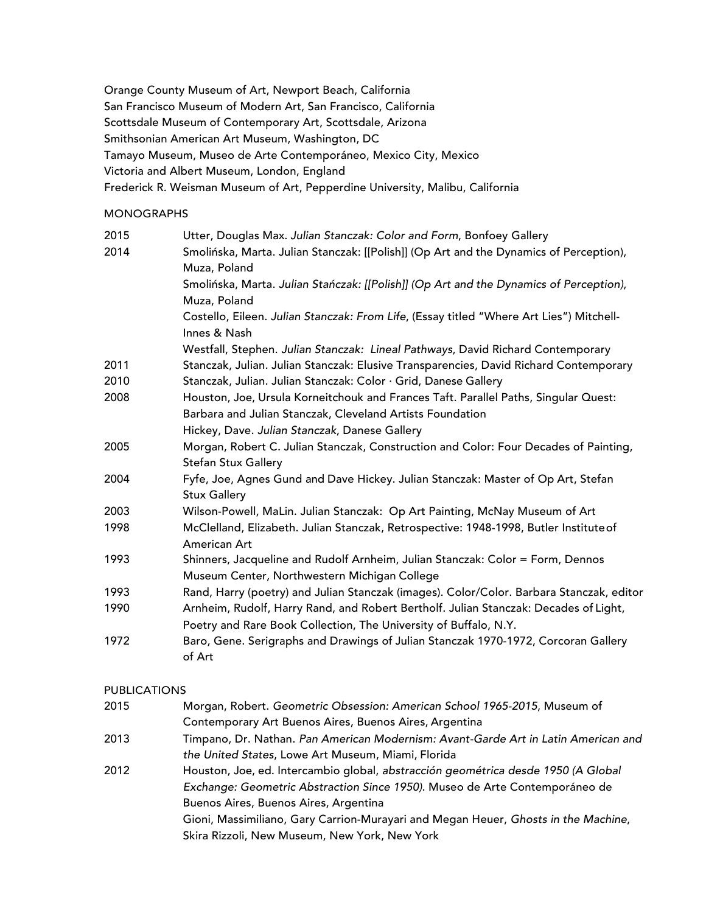Orange County Museum of Art, Newport Beach, California San Francisco Museum of Modern Art, San Francisco, California Scottsdale Museum of Contemporary Art, Scottsdale, Arizona Smithsonian American Art Museum, Washington, DC Tamayo Museum, Museo de Arte Contemporáneo, Mexico City, Mexico Victoria and Albert Museum, London, England Frederick R. Weisman Museum of Art, Pepperdine University, Malibu, California

## MONOGRAPHS

| 2015 | Utter, Douglas Max. Julian Stanczak: Color and Form, Bonfoey Gallery                     |
|------|------------------------------------------------------------------------------------------|
| 2014 | Smolińska, Marta. Julian Stanczak: [[Polish]] (Op Art and the Dynamics of Perception),   |
|      | Muza, Poland                                                                             |
|      | Smolińska, Marta. Julian Stańczak: [[Polish]] (Op Art and the Dynamics of Perception),   |
|      | Muza, Poland                                                                             |
|      | Costello, Eileen. Julian Stanczak: From Life, (Essay titled "Where Art Lies") Mitchell-  |
|      | Innes & Nash                                                                             |
|      | Westfall, Stephen. Julian Stanczak: Lineal Pathways, David Richard Contemporary          |
| 2011 | Stanczak, Julian. Julian Stanczak: Elusive Transparencies, David Richard Contemporary    |
| 2010 | Stanczak, Julian. Julian Stanczak: Color · Grid, Danese Gallery                          |
| 2008 | Houston, Joe, Ursula Korneitchouk and Frances Taft. Parallel Paths, Singular Quest:      |
|      | Barbara and Julian Stanczak, Cleveland Artists Foundation                                |
|      | Hickey, Dave. Julian Stanczak, Danese Gallery                                            |
| 2005 | Morgan, Robert C. Julian Stanczak, Construction and Color: Four Decades of Painting,     |
|      | <b>Stefan Stux Gallery</b>                                                               |
| 2004 | Fyfe, Joe, Agnes Gund and Dave Hickey. Julian Stanczak: Master of Op Art, Stefan         |
|      | <b>Stux Gallery</b>                                                                      |
| 2003 | Wilson-Powell, MaLin. Julian Stanczak: Op Art Painting, McNay Museum of Art              |
| 1998 | McClelland, Elizabeth. Julian Stanczak, Retrospective: 1948-1998, Butler Institute of    |
|      | American Art                                                                             |
| 1993 | Shinners, Jacqueline and Rudolf Arnheim, Julian Stanczak: Color = Form, Dennos           |
|      | Museum Center, Northwestern Michigan College                                             |
| 1993 | Rand, Harry (poetry) and Julian Stanczak (images). Color/Color. Barbara Stanczak, editor |
| 1990 | Arnheim, Rudolf, Harry Rand, and Robert Bertholf. Julian Stanczak: Decades of Light,     |
|      | Poetry and Rare Book Collection, The University of Buffalo, N.Y.                         |
| 1972 | Baro, Gene. Serigraphs and Drawings of Julian Stanczak 1970-1972, Corcoran Gallery       |
|      | of Art                                                                                   |

#### PUBLICATIONS

| 2015 | Morgan, Robert. Geometric Obsession: American School 1965-2015, Museum of          |
|------|------------------------------------------------------------------------------------|
|      | Contemporary Art Buenos Aires, Buenos Aires, Argentina                             |
| 2013 | Timpano, Dr. Nathan. Pan American Modernism: Avant-Garde Art in Latin American and |
|      | the United States, Lowe Art Museum, Miami, Florida                                 |
| 2012 | Houston, Joe, ed. Intercambio global, abstracción geométrica desde 1950 (A Global  |
|      | Exchange: Geometric Abstraction Since 1950). Museo de Arte Contemporáneo de        |
|      | Buenos Aires, Buenos Aires, Argentina                                              |
|      | Gioni, Massimiliano, Gary Carrion-Murayari and Megan Heuer, Ghosts in the Machine, |
|      | Skira Rizzoli, New Museum, New York, New York                                      |
|      |                                                                                    |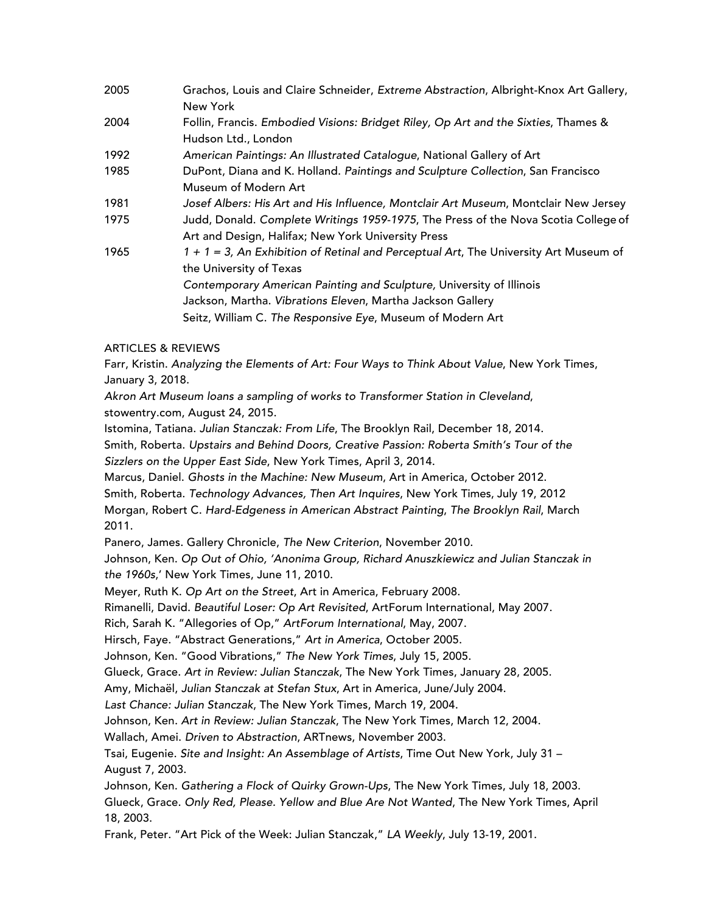| 2005 | Grachos, Louis and Claire Schneider, Extreme Abstraction, Albright-Knox Art Gallery,    |
|------|-----------------------------------------------------------------------------------------|
|      | New York                                                                                |
| 2004 | Follin, Francis. Embodied Visions: Bridget Riley, Op Art and the Sixties, Thames &      |
|      | Hudson Ltd., London                                                                     |
| 1992 | American Paintings: An Illustrated Catalogue, National Gallery of Art                   |
| 1985 | DuPont, Diana and K. Holland. Paintings and Sculpture Collection, San Francisco         |
|      | Museum of Modern Art                                                                    |
| 1981 | Josef Albers: His Art and His Influence, Montclair Art Museum, Montclair New Jersey     |
| 1975 | Judd, Donald. Complete Writings 1959-1975, The Press of the Nova Scotia College of      |
|      | Art and Design, Halifax; New York University Press                                      |
| 1965 | $1 + 1 = 3$ , An Exhibition of Retinal and Perceptual Art, The University Art Museum of |
|      | the University of Texas                                                                 |
|      | Contemporary American Painting and Sculpture, University of Illinois                    |
|      | Jackson, Martha. Vibrations Eleven, Martha Jackson Gallery                              |
|      | Seitz, William C. The Responsive Eye, Museum of Modern Art                              |
|      |                                                                                         |

## ARTICLES & REVIEWS

Farr, Kristin. *Analyzing the Elements of Art: Four Ways to Think About Value*, New York Times, January 3, 2018.

*Akron Art Museum loans a sampling of works to Transformer Station in Cleveland*, stowentry.com, August 24, 2015.

Istomina, Tatiana. *Julian Stanczak: From Life*, The Brooklyn Rail, December 18, 2014. Smith, Roberta. *Upstairs and Behind Doors, Creative Passion: Roberta Smith's Tour of the Sizzlers on the Upper East Side*, New York Times, April 3, 2014.

Marcus, Daniel. *Ghosts in the Machine: New Museum*, Art in America, October 2012. Smith, Roberta. *Technology Advances, Then Art Inquires*, New York Times, July 19, 2012 Morgan, Robert C. *Hard-Edgeness in American Abstract Painting*, *The Brooklyn Rail*, March 2011.

Panero, James. Gallery Chronicle, *The New Criterion*, November 2010.

Johnson, Ken. *Op Out of Ohio, 'Anonima Group, Richard Anuszkiewicz and Julian Stanczak in the 1960s*,' New York Times, June 11, 2010.

Meyer, Ruth K. *Op Art on the Street*, Art in America, February 2008.

Rimanelli, David. *Beautiful Loser: Op Art Revisited*, ArtForum International, May 2007.

Rich, Sarah K. "Allegories of Op," *ArtForum International*, May, 2007.

Hirsch, Faye. "Abstract Generations," *Art in America*, October 2005.

Johnson, Ken. "Good Vibrations," *The New York Times*, July 15, 2005.

Glueck, Grace. *Art in Review: Julian Stanczak*, The New York Times, January 28, 2005.

Amy, Michaël, *Julian Stanczak at Stefan Stux*, Art in America, June/July 2004.

*Last Chance: Julian Stanczak*, The New York Times, March 19, 2004.

Johnson, Ken. *Art in Review: Julian Stanczak*, The New York Times, March 12, 2004.

Wallach, Amei. *Driven to Abstraction*, ARTnews, November 2003.

Tsai, Eugenie. *Site and Insight: An Assemblage of Artists*, Time Out New York, July 31 – August 7, 2003.

Johnson, Ken. *Gathering a Flock of Quirky Grown-Ups*, The New York Times, July 18, 2003.

Glueck, Grace. *Only Red, Please. Yellow and Blue Are Not Wanted*, The New York Times, April 18, 2003.

Frank, Peter. "Art Pick of the Week: Julian Stanczak," *LA Weekly*, July 13-19, 2001.